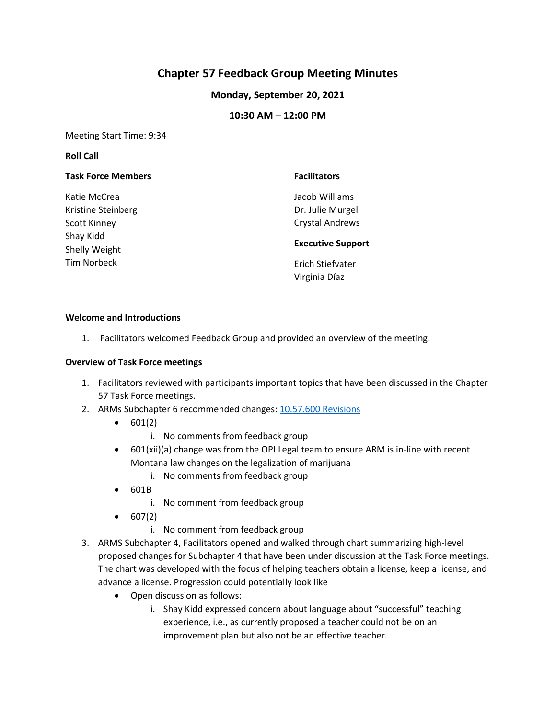# **Chapter 57 Feedback Group Meeting Minutes**

## **Monday, September 20, 2021**

### **10:30 AM – 12:00 PM**

Meeting Start Time: 9:34

#### **Roll Call**

| <b>Task Force Members</b> | <b>Facilitators</b>      |
|---------------------------|--------------------------|
| Katie McCrea              | Jacob Williams           |
| Kristine Steinberg        | Dr. Julie Murgel         |
| <b>Scott Kinney</b>       | <b>Crystal Andrews</b>   |
| Shay Kidd                 | <b>Executive Support</b> |
| Shelly Weight             |                          |
| Tim Norbeck               | Erich Stiefvater         |
|                           | Virginia Díaz            |

#### **Welcome and Introductions**

1. Facilitators welcomed Feedback Group and provided an overview of the meeting.

#### **Overview of Task Force meetings**

- 1. Facilitators reviewed with participants important topics that have been discussed in the Chapter 57 Task Force meetings.
- 2. ARMs Subchapter 6 recommended changes: [10.57.600 Revisions](https://docs.google.com/document/d/1_Vlw7aFcdzZVInXzF4K3_svqY8XOqGw0Kk6fH8QtptY/edit)
	- $\bullet$  601(2)
		- i. No comments from feedback group
	- 601(xii)(a) change was from the OPI Legal team to ensure ARM is in-line with recent Montana law changes on the legalization of marijuana
		- i. No comments from feedback group
	- 601B
		- i. No comment from feedback group
	- $607(2)$ 
		- i. No comment from feedback group
- 3. ARMS Subchapter 4, Facilitators opened and walked through chart summarizing high-level proposed changes for Subchapter 4 that have been under discussion at the Task Force meetings. The chart was developed with the focus of helping teachers obtain a license, keep a license, and advance a license. Progression could potentially look like
	- Open discussion as follows:
		- i. Shay Kidd expressed concern about language about "successful" teaching experience, i.e., as currently proposed a teacher could not be on an improvement plan but also not be an effective teacher.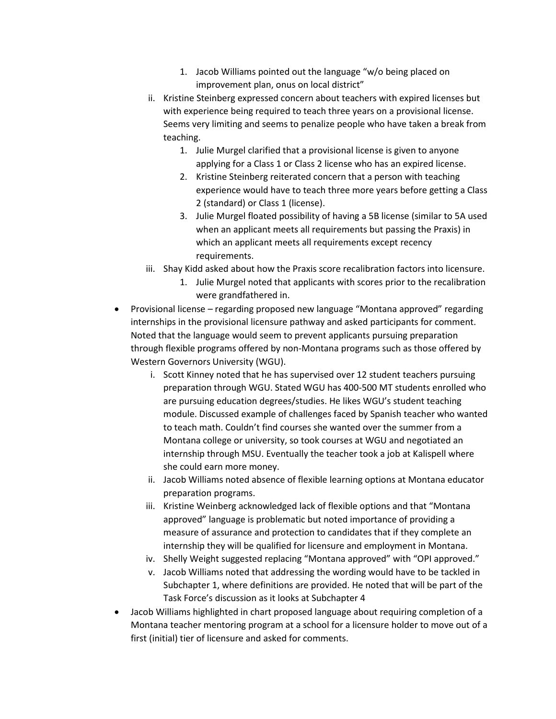- 1. Jacob Williams pointed out the language "w/o being placed on improvement plan, onus on local district"
- ii. Kristine Steinberg expressed concern about teachers with expired licenses but with experience being required to teach three years on a provisional license. Seems very limiting and seems to penalize people who have taken a break from teaching.
	- 1. Julie Murgel clarified that a provisional license is given to anyone applying for a Class 1 or Class 2 license who has an expired license.
	- 2. Kristine Steinberg reiterated concern that a person with teaching experience would have to teach three more years before getting a Class 2 (standard) or Class 1 (license).
	- 3. Julie Murgel floated possibility of having a 5B license (similar to 5A used when an applicant meets all requirements but passing the Praxis) in which an applicant meets all requirements except recency requirements.
- iii. Shay Kidd asked about how the Praxis score recalibration factors into licensure.
	- 1. Julie Murgel noted that applicants with scores prior to the recalibration were grandfathered in.
- Provisional license regarding proposed new language "Montana approved" regarding internships in the provisional licensure pathway and asked participants for comment. Noted that the language would seem to prevent applicants pursuing preparation through flexible programs offered by non-Montana programs such as those offered by Western Governors University (WGU).
	- i. Scott Kinney noted that he has supervised over 12 student teachers pursuing preparation through WGU. Stated WGU has 400-500 MT students enrolled who are pursuing education degrees/studies. He likes WGU's student teaching module. Discussed example of challenges faced by Spanish teacher who wanted to teach math. Couldn't find courses she wanted over the summer from a Montana college or university, so took courses at WGU and negotiated an internship through MSU. Eventually the teacher took a job at Kalispell where she could earn more money.
	- ii. Jacob Williams noted absence of flexible learning options at Montana educator preparation programs.
	- iii. Kristine Weinberg acknowledged lack of flexible options and that "Montana approved" language is problematic but noted importance of providing a measure of assurance and protection to candidates that if they complete an internship they will be qualified for licensure and employment in Montana.
	- iv. Shelly Weight suggested replacing "Montana approved" with "OPI approved."
	- v. Jacob Williams noted that addressing the wording would have to be tackled in Subchapter 1, where definitions are provided. He noted that will be part of the Task Force's discussion as it looks at Subchapter 4
- Jacob Williams highlighted in chart proposed language about requiring completion of a Montana teacher mentoring program at a school for a licensure holder to move out of a first (initial) tier of licensure and asked for comments.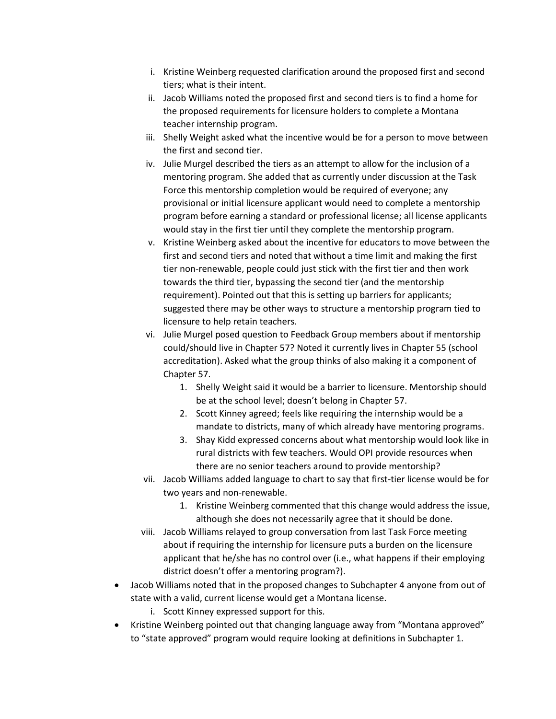- i. Kristine Weinberg requested clarification around the proposed first and second tiers; what is their intent.
- ii. Jacob Williams noted the proposed first and second tiers is to find a home for the proposed requirements for licensure holders to complete a Montana teacher internship program.
- iii. Shelly Weight asked what the incentive would be for a person to move between the first and second tier.
- iv. Julie Murgel described the tiers as an attempt to allow for the inclusion of a mentoring program. She added that as currently under discussion at the Task Force this mentorship completion would be required of everyone; any provisional or initial licensure applicant would need to complete a mentorship program before earning a standard or professional license; all license applicants would stay in the first tier until they complete the mentorship program.
- v. Kristine Weinberg asked about the incentive for educators to move between the first and second tiers and noted that without a time limit and making the first tier non-renewable, people could just stick with the first tier and then work towards the third tier, bypassing the second tier (and the mentorship requirement). Pointed out that this is setting up barriers for applicants; suggested there may be other ways to structure a mentorship program tied to licensure to help retain teachers.
- vi. Julie Murgel posed question to Feedback Group members about if mentorship could/should live in Chapter 57? Noted it currently lives in Chapter 55 (school accreditation). Asked what the group thinks of also making it a component of Chapter 57.
	- 1. Shelly Weight said it would be a barrier to licensure. Mentorship should be at the school level; doesn't belong in Chapter 57.
	- 2. Scott Kinney agreed; feels like requiring the internship would be a mandate to districts, many of which already have mentoring programs.
	- 3. Shay Kidd expressed concerns about what mentorship would look like in rural districts with few teachers. Would OPI provide resources when there are no senior teachers around to provide mentorship?
- vii. Jacob Williams added language to chart to say that first-tier license would be for two years and non-renewable.
	- 1. Kristine Weinberg commented that this change would address the issue, although she does not necessarily agree that it should be done.
- viii. Jacob Williams relayed to group conversation from last Task Force meeting about if requiring the internship for licensure puts a burden on the licensure applicant that he/she has no control over (i.e., what happens if their employing district doesn't offer a mentoring program?).
- Jacob Williams noted that in the proposed changes to Subchapter 4 anyone from out of state with a valid, current license would get a Montana license.
	- i. Scott Kinney expressed support for this.
- Kristine Weinberg pointed out that changing language away from "Montana approved" to "state approved" program would require looking at definitions in Subchapter 1.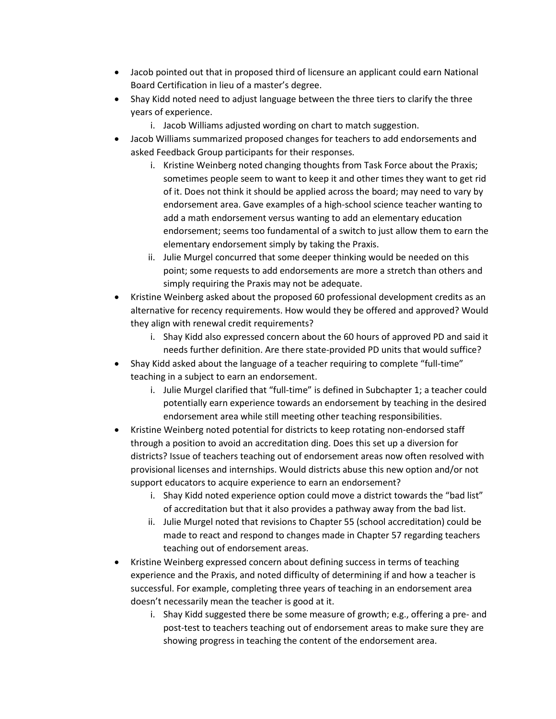- Jacob pointed out that in proposed third of licensure an applicant could earn National Board Certification in lieu of a master's degree.
- Shay Kidd noted need to adjust language between the three tiers to clarify the three years of experience.
	- i. Jacob Williams adjusted wording on chart to match suggestion.
- Jacob Williams summarized proposed changes for teachers to add endorsements and asked Feedback Group participants for their responses.
	- i. Kristine Weinberg noted changing thoughts from Task Force about the Praxis; sometimes people seem to want to keep it and other times they want to get rid of it. Does not think it should be applied across the board; may need to vary by endorsement area. Gave examples of a high-school science teacher wanting to add a math endorsement versus wanting to add an elementary education endorsement; seems too fundamental of a switch to just allow them to earn the elementary endorsement simply by taking the Praxis.
	- ii. Julie Murgel concurred that some deeper thinking would be needed on this point; some requests to add endorsements are more a stretch than others and simply requiring the Praxis may not be adequate.
- Kristine Weinberg asked about the proposed 60 professional development credits as an alternative for recency requirements. How would they be offered and approved? Would they align with renewal credit requirements?
	- i. Shay Kidd also expressed concern about the 60 hours of approved PD and said it needs further definition. Are there state-provided PD units that would suffice?
- Shay Kidd asked about the language of a teacher requiring to complete "full-time" teaching in a subject to earn an endorsement.
	- i. Julie Murgel clarified that "full-time" is defined in Subchapter 1; a teacher could potentially earn experience towards an endorsement by teaching in the desired endorsement area while still meeting other teaching responsibilities.
- Kristine Weinberg noted potential for districts to keep rotating non-endorsed staff through a position to avoid an accreditation ding. Does this set up a diversion for districts? Issue of teachers teaching out of endorsement areas now often resolved with provisional licenses and internships. Would districts abuse this new option and/or not support educators to acquire experience to earn an endorsement?
	- i. Shay Kidd noted experience option could move a district towards the "bad list" of accreditation but that it also provides a pathway away from the bad list.
	- ii. Julie Murgel noted that revisions to Chapter 55 (school accreditation) could be made to react and respond to changes made in Chapter 57 regarding teachers teaching out of endorsement areas.
- Kristine Weinberg expressed concern about defining success in terms of teaching experience and the Praxis, and noted difficulty of determining if and how a teacher is successful. For example, completing three years of teaching in an endorsement area doesn't necessarily mean the teacher is good at it.
	- i. Shay Kidd suggested there be some measure of growth; e.g., offering a pre- and post-test to teachers teaching out of endorsement areas to make sure they are showing progress in teaching the content of the endorsement area.